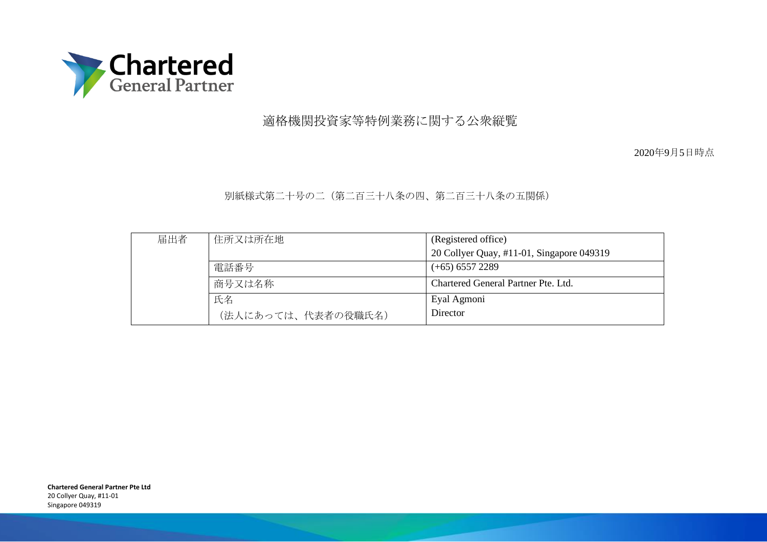

# 適格機関投資家等特例業務に関する公衆縦覧

2020年9月5日時点

### 別紙様式第二十号の二(第二百三十八条の四、第二百三十八条の五関係)

| 届出者 | 住所又は所在地            | (Registered office)                       |
|-----|--------------------|-------------------------------------------|
|     |                    | 20 Collyer Quay, #11-01, Singapore 049319 |
|     | 電話番号               | $(+65)$ 6557 2289                         |
|     | 商号又は名称             | Chartered General Partner Pte. Ltd.       |
|     | 氏名                 | Eyal Agmoni                               |
|     | (法人にあっては、代表者の役職氏名) | Director                                  |

**Chartered General Partner Pte Ltd** 20 Collyer Quay, #11-01 Singapore 049319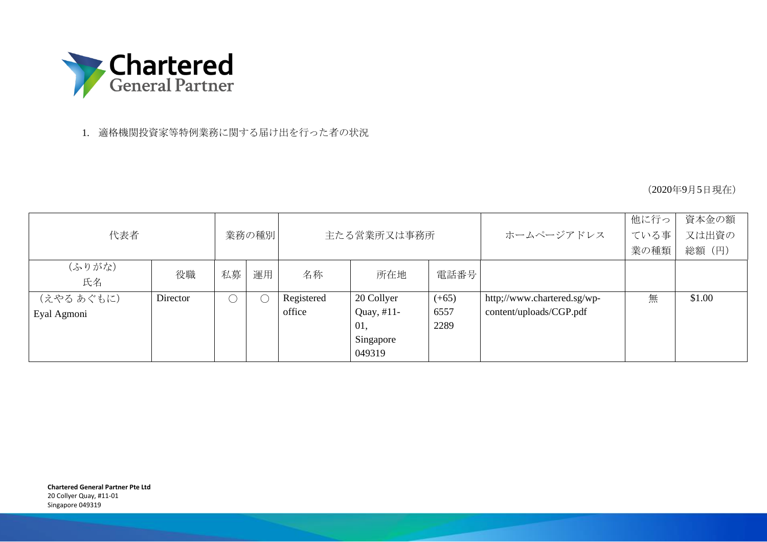

1. 適格機関投資家等特例業務に関する届け出を行った者の状況

(2020年9月5日現在)

|             |          |       |    |             |            |         |                             | 他に行っ | 資本金の額  |
|-------------|----------|-------|----|-------------|------------|---------|-----------------------------|------|--------|
| 代表者         |          | 業務の種別 |    | 主たる営業所又は事務所 |            |         | ホームページアドレス                  | ている事 | 又は出資の  |
|             |          |       |    |             |            |         |                             | 業の種類 | 総額 (円) |
| (ふりがな)      | 役職       | 私募    | 運用 | 名称          | 所在地        | 電話番号    |                             |      |        |
| 氏名          |          |       |    |             |            |         |                             |      |        |
| (えやる あぐもに)  | Director |       |    | Registered  | 20 Collyer | $(+65)$ | http://www.chartered.sg/wp- | 無    | \$1.00 |
| Eyal Agmoni |          |       |    | office      | Quay, #11- | 6557    | content/uploads/CGP.pdf     |      |        |
|             |          |       |    |             | 01,        | 2289    |                             |      |        |
|             |          |       |    |             | Singapore  |         |                             |      |        |
|             |          |       |    |             | 049319     |         |                             |      |        |

**Chartered General Partner Pte Ltd** 20 Collyer Quay, #11-01 Singapore 049319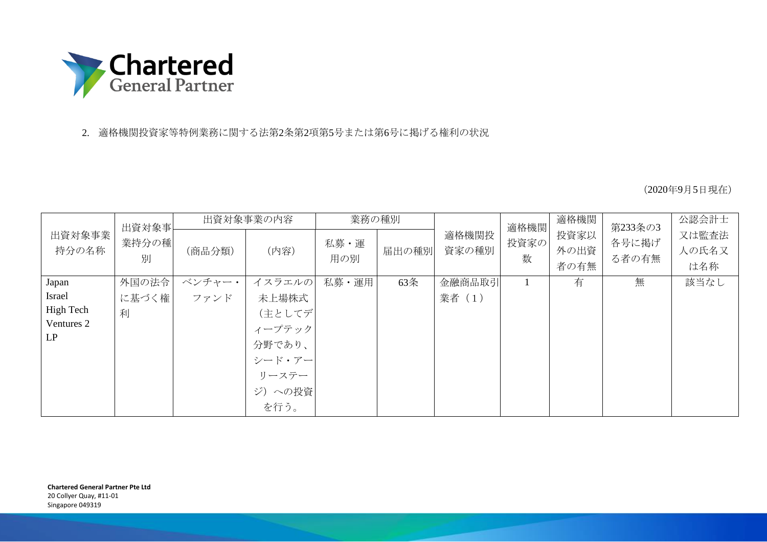

## 2. 適格機関投資家等特例業務に関する法第2条第2項第5号または第6号に掲げる権利の状況

(2020年9月5日現在)

|                               | 出資対象事      | 出資対象事業の内容 |                                                                 | 業務の種別       |       |                | 適格機関      | 適格機関                 | 第233条の3        | 公認会計士                 |
|-------------------------------|------------|-----------|-----------------------------------------------------------------|-------------|-------|----------------|-----------|----------------------|----------------|-----------------------|
| 出資対象事業<br>持分の名称               | 業持分の種<br>別 | (商品分類)    | (内容)                                                            | 私募·運<br>用の別 | 届出の種別 | 適格機関投<br>資家の種別 | 投資家の<br>数 | 投資家以<br>外の出資<br>者の有無 | 各号に掲げ<br>る者の有無 | 又は監査法<br>人の氏名又<br>は名称 |
| Japan                         | 外国の法令      | ベンチャー・    | イスラエルの                                                          | 私募·運用       | 63条   | 金融商品取引         | 1         | 有                    | 無              | 該当なし                  |
| Israel                        | に基づく権      | ファンド      | 未上場株式                                                           |             |       | 業者 (1)         |           |                      |                |                       |
| High Tech<br>Ventures 2<br>LP | 利          |           | (主としてデ<br>ィープテック<br>分野であり、<br>シード・アー<br>リーステー<br>ジ)への投資<br>を行う。 |             |       |                |           |                      |                |                       |